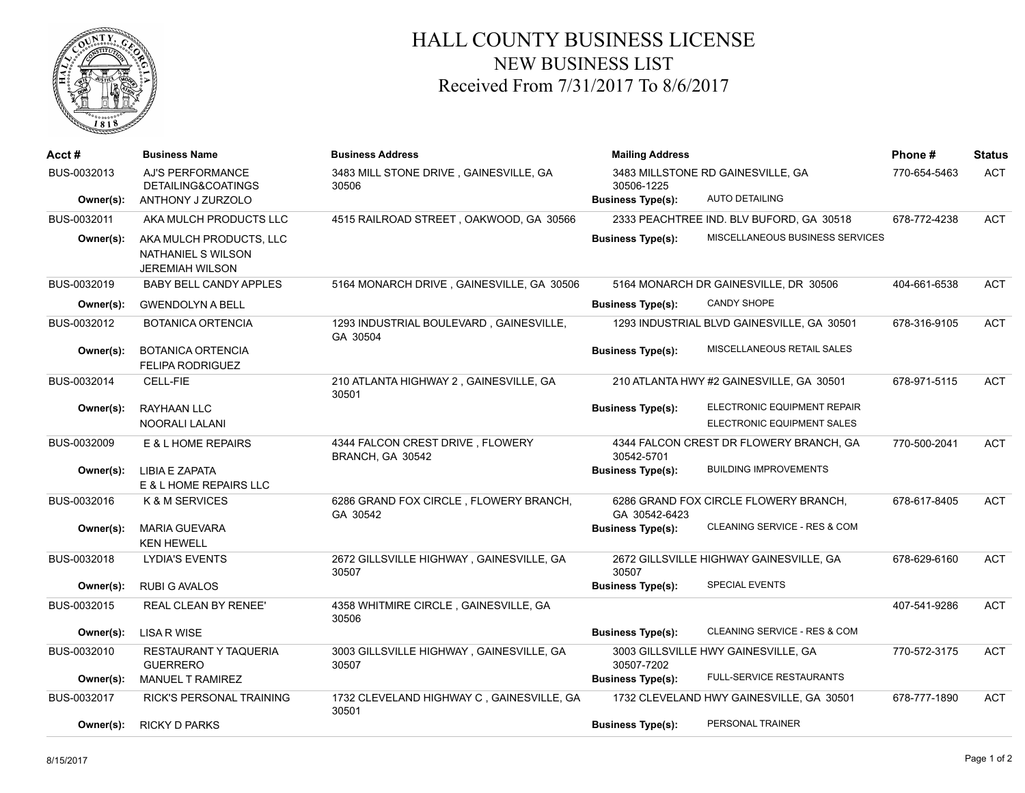

## HALL COUNTY BUSINESS LICENSE NEW BUSINESS LIST Received From 7/31/2017 To 8/6/2017

| Acct #      | <b>Business Name</b>                                                    | <b>Business Address</b>                              | <b>Mailing Address</b>                          |                                          | Phone #      | <b>Status</b> |
|-------------|-------------------------------------------------------------------------|------------------------------------------------------|-------------------------------------------------|------------------------------------------|--------------|---------------|
| BUS-0032013 | AJ'S PERFORMANCE<br>DETAILING&COATINGS                                  | 3483 MILL STONE DRIVE, GAINESVILLE, GA<br>30506      | 3483 MILLSTONE RD GAINESVILLE, GA<br>30506-1225 |                                          | 770-654-5463 | <b>ACT</b>    |
| Owner(s):   | ANTHONY J ZURZOLO                                                       |                                                      | <b>Business Type(s):</b>                        | <b>AUTO DETAILING</b>                    |              |               |
| BUS-0032011 | AKA MULCH PRODUCTS LLC                                                  | 4515 RAILROAD STREET, OAKWOOD, GA 30566              |                                                 | 2333 PEACHTREE IND. BLV BUFORD, GA 30518 | 678-772-4238 | <b>ACT</b>    |
| Owner(s):   | AKA MULCH PRODUCTS, LLC<br>NATHANIEL S WILSON<br><b>JEREMIAH WILSON</b> |                                                      | <b>Business Type(s):</b>                        | MISCELLANEOUS BUSINESS SERVICES          |              |               |
| BUS-0032019 | <b>BABY BELL CANDY APPLES</b>                                           | 5164 MONARCH DRIVE, GAINESVILLE, GA 30506            | 5164 MONARCH DR GAINESVILLE, DR 30506           |                                          | 404-661-6538 | <b>ACT</b>    |
| Owner(s):   | <b>GWENDOLYN A BELL</b>                                                 |                                                      | <b>Business Type(s):</b>                        | <b>CANDY SHOPE</b>                       |              |               |
| BUS-0032012 | <b>BOTANICA ORTENCIA</b>                                                | 1293 INDUSTRIAL BOULEVARD, GAINESVILLE,<br>GA 30504  | 1293 INDUSTRIAL BLVD GAINESVILLE, GA 30501      |                                          | 678-316-9105 | <b>ACT</b>    |
| Owner(s):   | <b>BOTANICA ORTENCIA</b><br><b>FELIPA RODRIGUEZ</b>                     |                                                      | <b>Business Type(s):</b>                        | MISCELLANEOUS RETAIL SALES               |              |               |
| BUS-0032014 | CELL-FIE                                                                | 210 ATLANTA HIGHWAY 2, GAINESVILLE, GA<br>30501      | 210 ATLANTA HWY #2 GAINESVILLE, GA 30501        |                                          | 678-971-5115 | <b>ACT</b>    |
| Owner(s):   | <b>RAYHAAN LLC</b>                                                      |                                                      | <b>Business Type(s):</b>                        | ELECTRONIC EQUIPMENT REPAIR              |              |               |
|             | NOORALI LALANI                                                          |                                                      |                                                 | ELECTRONIC EQUIPMENT SALES               |              |               |
| BUS-0032009 | E & L HOME REPAIRS                                                      | 4344 FALCON CREST DRIVE, FLOWERY<br>BRANCH, GA 30542 | 30542-5701                                      | 4344 FALCON CREST DR FLOWERY BRANCH, GA  | 770-500-2041 | <b>ACT</b>    |
| Owner(s):   | LIBIA E ZAPATA<br>E & L HOME REPAIRS LLC                                |                                                      | <b>Business Type(s):</b>                        | <b>BUILDING IMPROVEMENTS</b>             |              |               |
| BUS-0032016 | K & M SERVICES                                                          | 6286 GRAND FOX CIRCLE, FLOWERY BRANCH,<br>GA 30542   | GA 30542-6423                                   | 6286 GRAND FOX CIRCLE FLOWERY BRANCH,    | 678-617-8405 | <b>ACT</b>    |
| Owner(s):   | <b>MARIA GUEVARA</b><br><b>KEN HEWELL</b>                               |                                                      | <b>Business Type(s):</b>                        | CLEANING SERVICE - RES & COM             |              |               |
| BUS-0032018 | LYDIA'S EVENTS                                                          | 2672 GILLSVILLE HIGHWAY, GAINESVILLE, GA<br>30507    | 30507                                           | 2672 GILLSVILLE HIGHWAY GAINESVILLE, GA  | 678-629-6160 | <b>ACT</b>    |
| Owner(s):   | <b>RUBI G AVALOS</b>                                                    |                                                      | <b>Business Type(s):</b>                        | <b>SPECIAL EVENTS</b>                    |              |               |
| BUS-0032015 | <b>REAL CLEAN BY RENEE'</b>                                             | 4358 WHITMIRE CIRCLE, GAINESVILLE, GA<br>30506       |                                                 |                                          | 407-541-9286 | <b>ACT</b>    |
| Owner(s):   | <b>LISA R WISE</b>                                                      |                                                      | <b>Business Type(s):</b>                        | CLEANING SERVICE - RES & COM             |              |               |
| BUS-0032010 | <b>RESTAURANT Y TAQUERIA</b><br><b>GUERRERO</b>                         | 3003 GILLSVILLE HIGHWAY, GAINESVILLE, GA<br>30507    | 30507-7202                                      | 3003 GILLSVILLE HWY GAINESVILLE, GA      | 770-572-3175 | <b>ACT</b>    |
| Owner(s):   | MANUEL T RAMIREZ                                                        |                                                      | <b>Business Type(s):</b>                        | <b>FULL-SERVICE RESTAURANTS</b>          |              |               |
| BUS-0032017 | RICK'S PERSONAL TRAINING                                                | 1732 CLEVELAND HIGHWAY C, GAINESVILLE, GA<br>30501   |                                                 | 1732 CLEVELAND HWY GAINESVILLE, GA 30501 | 678-777-1890 | <b>ACT</b>    |
| Owner(s):   | <b>RICKY D PARKS</b>                                                    |                                                      | <b>Business Type(s):</b>                        | PERSONAL TRAINER                         |              |               |